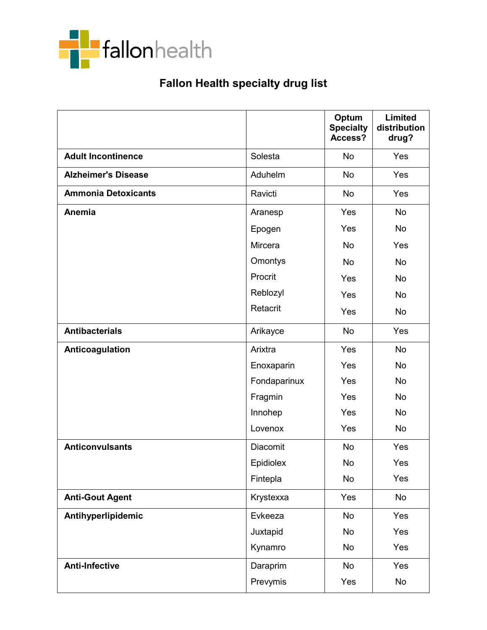

## Fallon Health specialty drug list

|                            |                 | Optum<br><b>Specialty</b><br>Access? | <b>Limited</b><br>distribution<br>drug? |
|----------------------------|-----------------|--------------------------------------|-----------------------------------------|
| <b>Adult Incontinence</b>  | Solesta         | <b>No</b>                            | Yes                                     |
| <b>Alzheimer's Disease</b> | Aduhelm         | <b>No</b>                            | Yes                                     |
| <b>Ammonia Detoxicants</b> | Ravicti         | <b>No</b>                            | Yes                                     |
| <b>Anemia</b>              | Aranesp         | Yes                                  | <b>No</b>                               |
|                            | Epogen          | Yes                                  | No                                      |
|                            | Mircera         | <b>No</b>                            | Yes                                     |
|                            | Omontys         | <b>No</b>                            | <b>No</b>                               |
|                            | Procrit         | Yes                                  | No                                      |
|                            | Reblozyl        | Yes                                  | No                                      |
|                            | Retacrit        | Yes                                  | No                                      |
| <b>Antibacterials</b>      | Arikayce        | <b>No</b>                            | Yes                                     |
| Anticoagulation            | Arixtra         | Yes                                  | <b>No</b>                               |
|                            | Enoxaparin      | Yes                                  | <b>No</b>                               |
|                            | Fondaparinux    | Yes                                  | <b>No</b>                               |
|                            | Fragmin         | Yes                                  | No                                      |
|                            | Innohep         | Yes                                  | <b>No</b>                               |
|                            | Lovenox         | Yes                                  | No                                      |
| <b>Anticonvulsants</b>     | <b>Diacomit</b> | <b>No</b>                            | Yes                                     |
|                            | Epidiolex       | <b>No</b>                            | Yes                                     |
|                            | Fintepla        | No                                   | Yes                                     |
| <b>Anti-Gout Agent</b>     | Krystexxa       | Yes                                  | No                                      |
| Antihyperlipidemic         | Evkeeza         | <b>No</b>                            | Yes                                     |
|                            | Juxtapid        | No                                   | Yes                                     |
|                            | Kynamro         | No                                   | Yes                                     |
| <b>Anti-Infective</b>      | Daraprim        | No                                   | Yes                                     |
|                            | Prevymis        | Yes                                  | No                                      |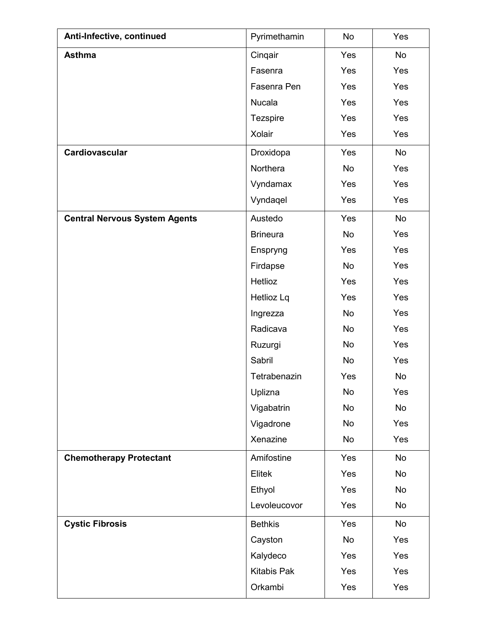| Anti-Infective, continued            | Pyrimethamin       | No        | Yes       |
|--------------------------------------|--------------------|-----------|-----------|
| <b>Asthma</b>                        | Cinqair            | Yes       | No        |
|                                      | Fasenra            | Yes       | Yes       |
|                                      | Fasenra Pen        | Yes       | Yes       |
|                                      | Nucala             | Yes       | Yes       |
|                                      | <b>Tezspire</b>    | Yes       | Yes       |
|                                      | Xolair             | Yes       | Yes       |
| Cardiovascular                       | Droxidopa          | Yes       | No        |
|                                      | Northera           | <b>No</b> | Yes       |
|                                      | Vyndamax           | Yes       | Yes       |
|                                      | Vyndaqel           | Yes       | Yes       |
| <b>Central Nervous System Agents</b> | Austedo            | Yes       | No        |
|                                      | <b>Brineura</b>    | No        | Yes       |
|                                      | Enspryng           | Yes       | Yes       |
|                                      | Firdapse           | <b>No</b> | Yes       |
|                                      | Hetlioz            | Yes       | Yes       |
|                                      | Hetlioz Lq         | Yes       | Yes       |
|                                      | Ingrezza           | No        | Yes       |
|                                      | Radicava           | No        | Yes       |
|                                      | Ruzurgi            | No        | Yes       |
|                                      | Sabril             | <b>No</b> | Yes       |
|                                      | Tetrabenazin       | Yes       | <b>No</b> |
|                                      | Uplizna            | No        | Yes       |
|                                      | Vigabatrin         | No        | No        |
|                                      | Vigadrone          | No        | Yes       |
|                                      | Xenazine           | No        | Yes       |
| <b>Chemotherapy Protectant</b>       | Amifostine         | Yes       | No        |
|                                      | Elitek             | Yes       | No        |
|                                      | Ethyol             | Yes       | No        |
|                                      | Levoleucovor       | Yes       | No        |
| <b>Cystic Fibrosis</b>               | <b>Bethkis</b>     | Yes       | No        |
|                                      | Cayston            | No        | Yes       |
|                                      | Kalydeco           | Yes       | Yes       |
|                                      | <b>Kitabis Pak</b> | Yes       | Yes       |
|                                      | Orkambi            | Yes       | Yes       |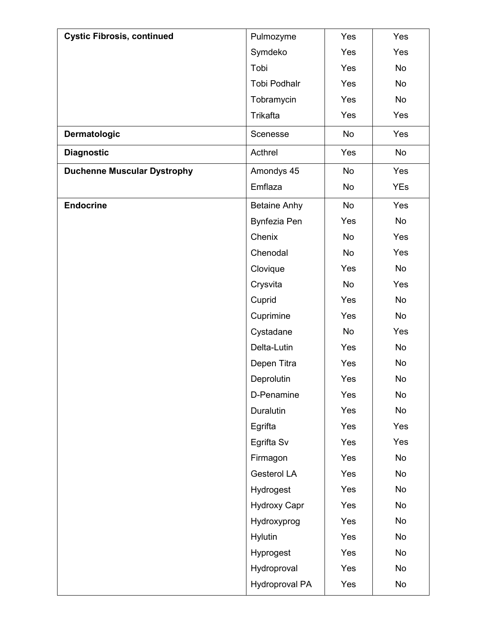| <b>Cystic Fibrosis, continued</b>  | Pulmozyme             | Yes       | Yes        |
|------------------------------------|-----------------------|-----------|------------|
|                                    | Symdeko               | Yes       | Yes        |
|                                    | Tobi                  | Yes       | No         |
|                                    | <b>Tobi Podhalr</b>   | Yes       | No         |
|                                    | Tobramycin            | Yes       | No         |
|                                    | Trikafta              | Yes       | Yes        |
| Dermatologic                       | Scenesse              | <b>No</b> | Yes        |
| <b>Diagnostic</b>                  | Acthrel               | Yes       | No         |
| <b>Duchenne Muscular Dystrophy</b> | Amondys 45            | <b>No</b> | Yes        |
|                                    | Emflaza               | No        | <b>YEs</b> |
| <b>Endocrine</b>                   | <b>Betaine Anhy</b>   | No        | Yes        |
|                                    | <b>Bynfezia Pen</b>   | Yes       | No         |
|                                    | Chenix                | No        | Yes        |
|                                    | Chenodal              | No        | Yes        |
|                                    | Clovique              | Yes       | No         |
|                                    | Crysvita              | No        | Yes        |
|                                    | Cuprid                | Yes       | No         |
|                                    | Cuprimine             | Yes       | No         |
|                                    | Cystadane             | No        | Yes        |
|                                    | Delta-Lutin           | Yes       | No         |
|                                    | Depen Titra           | Yes       | No         |
|                                    | Deprolutin            | Yes       | No         |
|                                    | D-Penamine            | Yes       | No         |
|                                    | Duralutin             | Yes       | No         |
|                                    | Egrifta               | Yes       | Yes        |
|                                    | Egrifta Sv            | Yes       | Yes        |
|                                    | Firmagon              | Yes       | No         |
|                                    | Gesterol LA           | Yes       | No         |
|                                    | Hydrogest             | Yes       | No         |
|                                    | <b>Hydroxy Capr</b>   | Yes       | No         |
|                                    | Hydroxyprog           | Yes       | No         |
|                                    | Hylutin               | Yes       | No         |
|                                    | Hyprogest             | Yes       | No         |
|                                    | Hydroproval           | Yes       | No         |
|                                    | <b>Hydroproval PA</b> | Yes       | No         |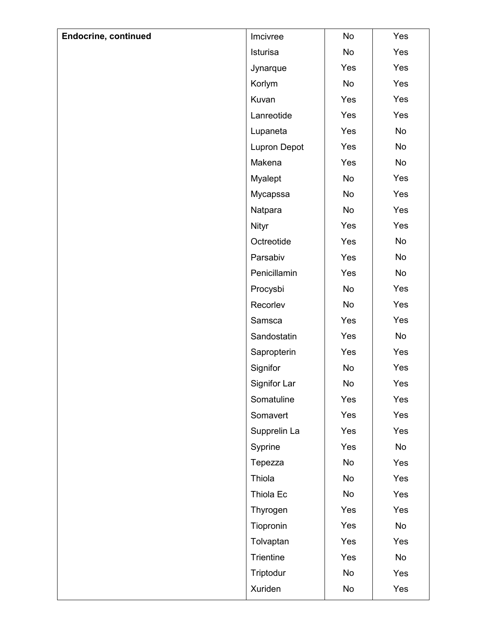| <b>Endocrine, continued</b> | Imcivree            | No  | Yes |
|-----------------------------|---------------------|-----|-----|
|                             | Isturisa            | No  | Yes |
|                             | Jynarque            | Yes | Yes |
|                             | Korlym              | No  | Yes |
|                             | Kuvan               | Yes | Yes |
|                             | Lanreotide          | Yes | Yes |
|                             | Lupaneta            | Yes | No  |
|                             | <b>Lupron Depot</b> | Yes | No  |
|                             | Makena              | Yes | No  |
|                             | Myalept             | No  | Yes |
|                             | Mycapssa            | No  | Yes |
|                             | Natpara             | No  | Yes |
|                             | Nityr               | Yes | Yes |
|                             | Octreotide          | Yes | No  |
|                             | Parsabiv            | Yes | No  |
|                             | Penicillamin        | Yes | No  |
|                             | Procysbi            | No  | Yes |
|                             | Recorlev            | No  | Yes |
|                             | Samsca              | Yes | Yes |
|                             | Sandostatin         | Yes | No  |
|                             | Sapropterin         | Yes | Yes |
|                             | Signifor            | No  | Yes |
|                             | Signifor Lar        | No  | Yes |
|                             | Somatuline          | Yes | Yes |
|                             | Somavert            | Yes | Yes |
|                             | Supprelin La        | Yes | Yes |
|                             | Syprine             | Yes | No  |
|                             | Tepezza             | No  | Yes |
|                             | Thiola              | No  | Yes |
|                             | Thiola Ec           | No  | Yes |
|                             | Thyrogen            | Yes | Yes |
|                             | Tiopronin           | Yes | No  |
|                             | Tolvaptan           | Yes | Yes |
|                             | Trientine           | Yes | No  |
|                             | Triptodur           | No  | Yes |
|                             | Xuriden             | No  | Yes |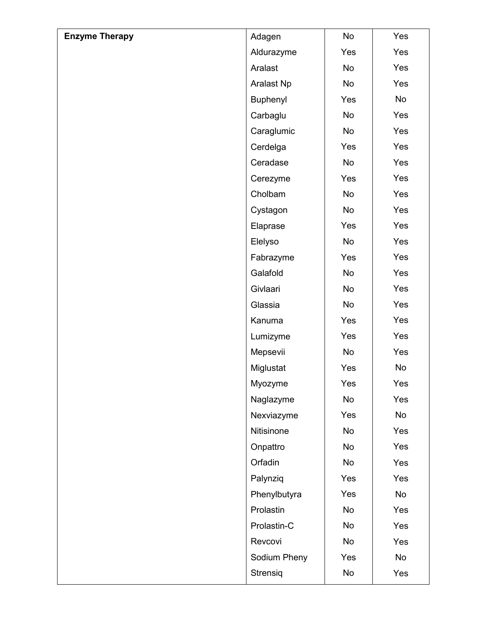| <b>Enzyme Therapy</b> | Adagen       | No  | Yes |
|-----------------------|--------------|-----|-----|
|                       | Aldurazyme   | Yes | Yes |
|                       | Aralast      | No  | Yes |
|                       | Aralast Np   | No  | Yes |
|                       | Buphenyl     | Yes | No  |
|                       | Carbaglu     | No  | Yes |
|                       | Caraglumic   | No  | Yes |
|                       | Cerdelga     | Yes | Yes |
|                       | Ceradase     | No  | Yes |
|                       | Cerezyme     | Yes | Yes |
|                       | Cholbam      | No  | Yes |
|                       | Cystagon     | No  | Yes |
|                       | Elaprase     | Yes | Yes |
|                       | Elelyso      | No  | Yes |
|                       | Fabrazyme    | Yes | Yes |
|                       | Galafold     | No  | Yes |
|                       | Givlaari     | No  | Yes |
|                       | Glassia      | No  | Yes |
|                       | Kanuma       | Yes | Yes |
|                       | Lumizyme     | Yes | Yes |
|                       | Mepsevii     | No  | Yes |
|                       | Miglustat    | Yes | No  |
|                       | Myozyme      | Yes | Yes |
|                       | Naglazyme    | No  | Yes |
|                       | Nexviazyme   | Yes | No  |
|                       | Nitisinone   | No  | Yes |
|                       | Onpattro     | No  | Yes |
|                       | Orfadin      | No  | Yes |
|                       | Palynziq     | Yes | Yes |
|                       | Phenylbutyra | Yes | No  |
|                       | Prolastin    | No  | Yes |
|                       | Prolastin-C  | No  | Yes |
|                       | Revcovi      | No  | Yes |
|                       | Sodium Pheny | Yes | No  |
|                       | Strensiq     | No  | Yes |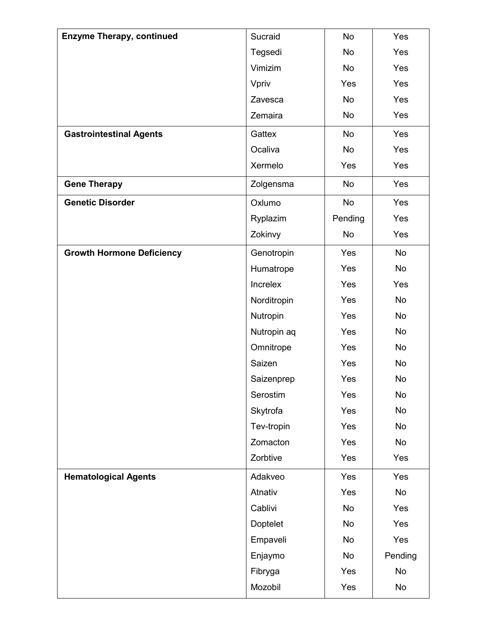| <b>Enzyme Therapy, continued</b> | Sucraid     | <b>No</b> | Yes       |
|----------------------------------|-------------|-----------|-----------|
|                                  | Tegsedi     | <b>No</b> | Yes       |
|                                  | Vimizim     | No        | Yes       |
|                                  | Vpriv       | Yes       | Yes       |
|                                  | Zavesca     | No        | Yes       |
|                                  | Zemaira     | No        | Yes       |
| <b>Gastrointestinal Agents</b>   | Gattex      | <b>No</b> | Yes       |
|                                  | Ocaliva     | No        | Yes       |
|                                  | Xermelo     | Yes       | Yes       |
| <b>Gene Therapy</b>              | Zolgensma   | No        | Yes       |
| <b>Genetic Disorder</b>          | Oxlumo      | No        | Yes       |
|                                  | Ryplazim    | Pending   | Yes       |
|                                  | Zokinvy     | No        | Yes       |
| <b>Growth Hormone Deficiency</b> | Genotropin  | Yes       | <b>No</b> |
|                                  | Humatrope   | Yes       | No        |
|                                  | Increlex    | Yes       | Yes       |
|                                  | Norditropin | Yes       | No        |
|                                  | Nutropin    | Yes       | No        |
|                                  | Nutropin aq | Yes       | <b>No</b> |
|                                  | Omnitrope   | Yes       | No        |
|                                  | Saizen      | Yes       | No        |
|                                  | Saizenprep  | Yes       | No        |
|                                  | Serostim    | Yes       | No        |
|                                  | Skytrofa    | Yes       | No        |
|                                  | Tev-tropin  | Yes       | No        |
|                                  | Zomacton    | Yes       | No        |
|                                  | Zorbtive    | Yes       | Yes       |
| <b>Hematological Agents</b>      | Adakveo     | Yes       | Yes       |
|                                  | Atnativ     | Yes       | No        |
|                                  | Cablivi     | No        | Yes       |
|                                  | Doptelet    | No        | Yes       |
|                                  | Empaveli    | No        | Yes       |
|                                  | Enjaymo     | No        | Pending   |
|                                  | Fibryga     | Yes       | No        |
|                                  | Mozobil     | Yes       | No        |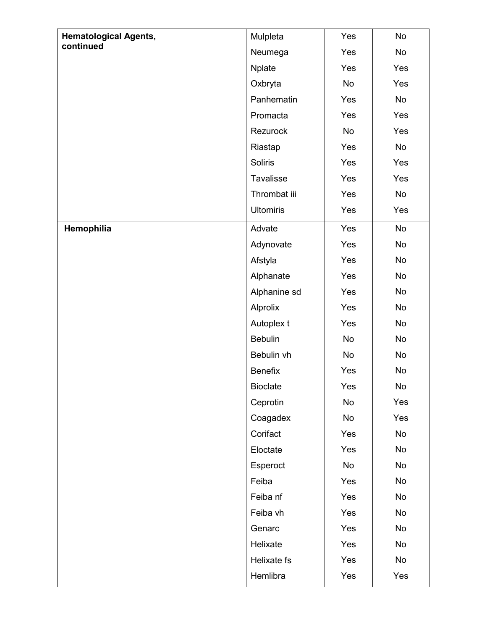| <b>Hematological Agents,</b> | Mulpleta         | Yes | No  |
|------------------------------|------------------|-----|-----|
| continued                    | Neumega          | Yes | No  |
|                              | <b>Nplate</b>    | Yes | Yes |
|                              | Oxbryta          | No  | Yes |
|                              | Panhematin       | Yes | No  |
|                              | Promacta         | Yes | Yes |
|                              | Rezurock         | No  | Yes |
|                              | Riastap          | Yes | No  |
|                              | <b>Soliris</b>   | Yes | Yes |
|                              | Tavalisse        | Yes | Yes |
|                              | Thrombat iii     | Yes | No  |
|                              | <b>Ultomiris</b> | Yes | Yes |
| Hemophilia                   | Advate           | Yes | No  |
|                              | Adynovate        | Yes | No  |
|                              | Afstyla          | Yes | No  |
|                              | Alphanate        | Yes | No  |
|                              | Alphanine sd     | Yes | No  |
|                              | Alprolix         | Yes | No  |
|                              | Autoplex t       | Yes | No  |
|                              | <b>Bebulin</b>   | No  | No  |
|                              | Bebulin vh       | No  | No  |
|                              | <b>Benefix</b>   | Yes | No  |
|                              | <b>Bioclate</b>  | Yes | No. |
|                              | Ceprotin         | No  | Yes |
|                              | Coagadex         | No  | Yes |
|                              | Corifact         | Yes | No  |
|                              | Eloctate         | Yes | No  |
|                              | Esperoct         | No  | No  |
|                              | Feiba            | Yes | No  |
|                              | Feiba nf         | Yes | No  |
|                              | Feiba vh         | Yes | No  |
|                              | Genarc           | Yes | No  |
|                              | Helixate         | Yes | No  |
|                              | Helixate fs      | Yes | No  |
|                              | Hemlibra         | Yes | Yes |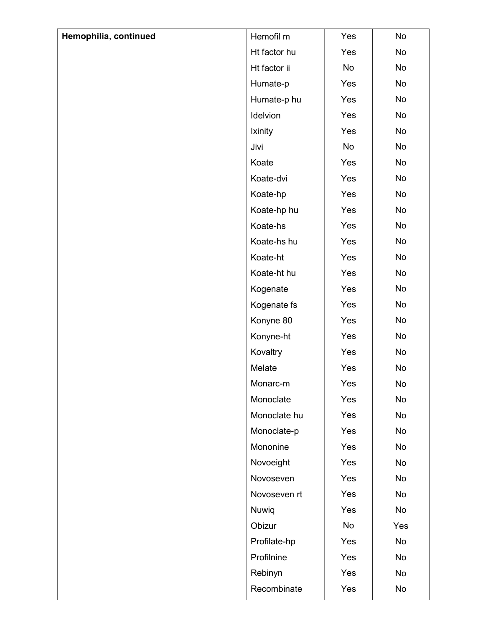| Hemophilia, continued | Hemofil m    | Yes | No  |
|-----------------------|--------------|-----|-----|
|                       | Ht factor hu | Yes | No  |
|                       | Ht factor ii | No  | No  |
|                       | Humate-p     | Yes | No  |
|                       | Humate-p hu  | Yes | No  |
|                       | Idelvion     | Yes | No  |
|                       | Ixinity      | Yes | No  |
|                       | Jivi         | No  | No  |
|                       | Koate        | Yes | No  |
|                       | Koate-dvi    | Yes | No  |
|                       | Koate-hp     | Yes | No  |
|                       | Koate-hp hu  | Yes | No  |
|                       | Koate-hs     | Yes | No  |
|                       | Koate-hs hu  | Yes | No  |
|                       | Koate-ht     | Yes | No  |
|                       | Koate-ht hu  | Yes | No  |
|                       | Kogenate     | Yes | No  |
|                       | Kogenate fs  | Yes | No  |
|                       | Konyne 80    | Yes | No  |
|                       | Konyne-ht    | Yes | No  |
|                       | Kovaltry     | Yes | No  |
|                       | Melate       | Yes | No  |
|                       | Monarc-m     | Yes | No  |
|                       | Monoclate    | Yes | No  |
|                       | Monoclate hu | Yes | No  |
|                       | Monoclate-p  | Yes | No  |
|                       | Mononine     | Yes | No  |
|                       | Novoeight    | Yes | No  |
|                       | Novoseven    | Yes | No  |
|                       | Novoseven rt | Yes | No  |
|                       | Nuwiq        | Yes | No  |
|                       | Obizur       | No  | Yes |
|                       | Profilate-hp | Yes | No  |
|                       | Profilnine   | Yes | No  |
|                       | Rebinyn      | Yes | No  |
|                       | Recombinate  | Yes | No  |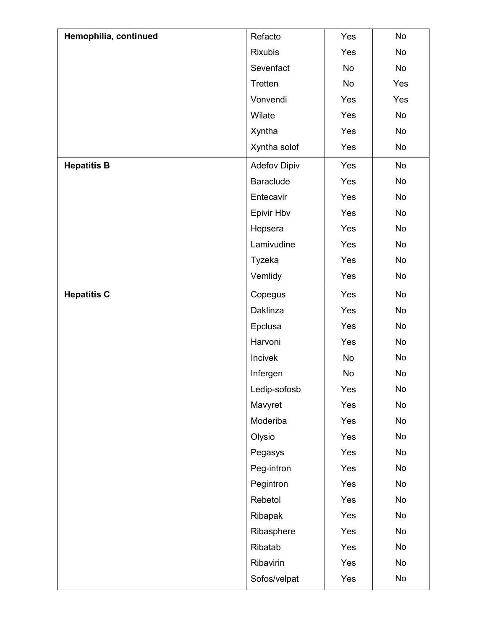| Hemophilia, continued | Refacto             | Yes | No  |
|-----------------------|---------------------|-----|-----|
|                       | <b>Rixubis</b>      | Yes | No  |
|                       | Sevenfact           | No  | No  |
|                       | Tretten             | No  | Yes |
|                       | Vonvendi            | Yes | Yes |
|                       | Wilate              | Yes | No  |
|                       | Xyntha              | Yes | No  |
|                       | Xyntha solof        | Yes | No  |
| <b>Hepatitis B</b>    | <b>Adefov Dipiv</b> | Yes | No  |
|                       | <b>Baraclude</b>    | Yes | No  |
|                       | Entecavir           | Yes | No  |
|                       | Epivir Hbv          | Yes | No  |
|                       | Hepsera             | Yes | No  |
|                       | Lamivudine          | Yes | No  |
|                       | Tyzeka              | Yes | No  |
|                       | Vemlidy             | Yes | No  |
| <b>Hepatitis C</b>    | Copegus             | Yes | No  |
|                       | Daklinza            | Yes | No  |
|                       | Epclusa             | Yes | No  |
|                       | Harvoni             | Yes | No  |
|                       | Incivek             | No  | No  |
|                       | Infergen            | No  | No  |
|                       | Ledip-sofosb        | Yes | No  |
|                       | Mavyret             | Yes | No  |
|                       | Moderiba            | Yes | No  |
|                       | Olysio              | Yes | No  |
|                       | Pegasys             | Yes | No  |
|                       | Peg-intron          | Yes | No  |
|                       | Pegintron           | Yes | No  |
|                       | Rebetol             | Yes | No  |
|                       | Ribapak             | Yes | No  |
|                       | Ribasphere          | Yes | No  |
|                       | Ribatab             | Yes | No  |
|                       | Ribavirin           | Yes | No  |
|                       | Sofos/velpat        | Yes | No  |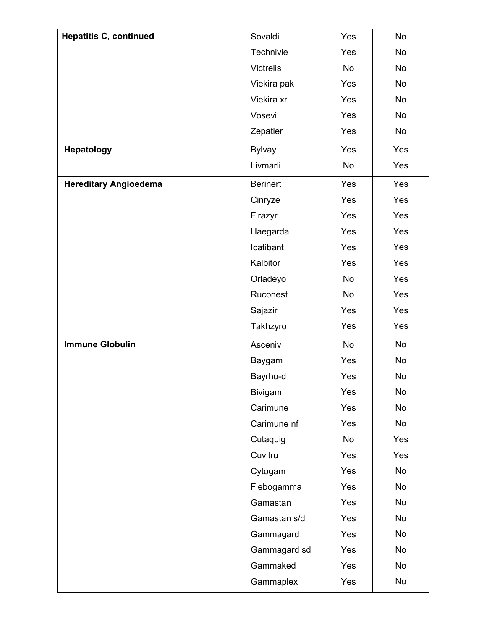| <b>Hepatitis C, continued</b> | Sovaldi         | Yes | No  |
|-------------------------------|-----------------|-----|-----|
|                               | Technivie       | Yes | No  |
|                               | Victrelis       | No  | No  |
|                               | Viekira pak     | Yes | No  |
|                               | Viekira xr      | Yes | No  |
|                               | Vosevi          | Yes | No  |
|                               | Zepatier        | Yes | No  |
| <b>Hepatology</b>             | <b>Bylvay</b>   | Yes | Yes |
|                               | Livmarli        | No  | Yes |
| <b>Hereditary Angioedema</b>  | <b>Berinert</b> | Yes | Yes |
|                               | Cinryze         | Yes | Yes |
|                               | Firazyr         | Yes | Yes |
|                               | Haegarda        | Yes | Yes |
|                               | Icatibant       | Yes | Yes |
|                               | Kalbitor        | Yes | Yes |
|                               | Orladeyo        | No  | Yes |
|                               | Ruconest        | No  | Yes |
|                               | Sajazir         | Yes | Yes |
|                               | Takhzyro        | Yes | Yes |
| <b>Immune Globulin</b>        | Asceniv         | No  | No  |
|                               | Baygam          | Yes | No  |
|                               | Bayrho-d        | Yes | No  |
|                               | Bivigam         | Yes | No  |
|                               | Carimune        | Yes | No  |
|                               | Carimune nf     | Yes | No  |
|                               | Cutaquig        | No  | Yes |
|                               | Cuvitru         | Yes | Yes |
|                               | Cytogam         | Yes | No  |
|                               | Flebogamma      | Yes | No  |
|                               | Gamastan        | Yes | No  |
|                               | Gamastan s/d    | Yes | No  |
|                               | Gammagard       | Yes | No  |
|                               | Gammagard sd    | Yes | No  |
|                               | Gammaked        | Yes | No  |
|                               | Gammaplex       | Yes | No  |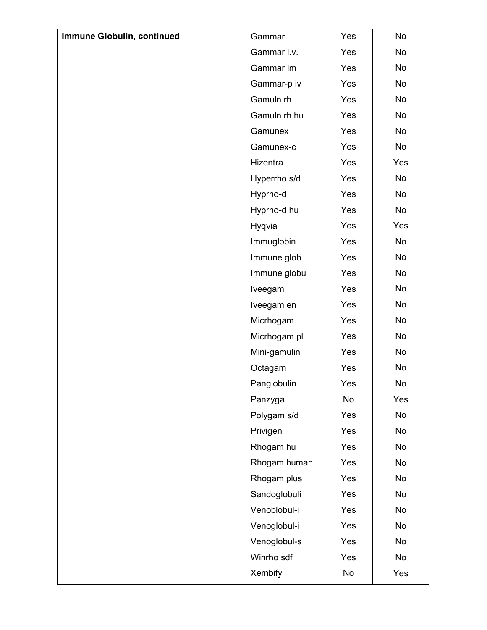| Immune Globulin, continued | Gammar       | Yes | No  |
|----------------------------|--------------|-----|-----|
|                            | Gammar i.v.  | Yes | No  |
|                            | Gammar im    | Yes | No  |
|                            | Gammar-p iv  | Yes | No  |
|                            | Gamuln rh    | Yes | No  |
|                            | Gamuln rh hu | Yes | No  |
|                            | Gamunex      | Yes | No  |
|                            | Gamunex-c    | Yes | No  |
|                            | Hizentra     | Yes | Yes |
|                            | Hyperrho s/d | Yes | No  |
|                            | Hyprho-d     | Yes | No  |
|                            | Hyprho-d hu  | Yes | No  |
|                            | Hyqvia       | Yes | Yes |
|                            | Immuglobin   | Yes | No  |
|                            | Immune glob  | Yes | No  |
|                            | Immune globu | Yes | No  |
|                            | Iveegam      | Yes | No  |
|                            | Iveegam en   | Yes | No  |
|                            | Micrhogam    | Yes | No  |
|                            | Micrhogam pl | Yes | No  |
|                            | Mini-gamulin | Yes | No  |
|                            | Octagam      | Yes | No  |
|                            | Panglobulin  | Yes | No  |
|                            | Panzyga      | No  | Yes |
|                            | Polygam s/d  | Yes | No  |
|                            | Privigen     | Yes | No  |
|                            | Rhogam hu    | Yes | No  |
|                            | Rhogam human | Yes | No  |
|                            | Rhogam plus  | Yes | No  |
|                            | Sandoglobuli | Yes | No  |
|                            | Venoblobul-i | Yes | No  |
|                            | Venoglobul-i | Yes | No  |
|                            | Venoglobul-s | Yes | No  |
|                            | Winrho sdf   | Yes | No  |
|                            | Xembify      | No  | Yes |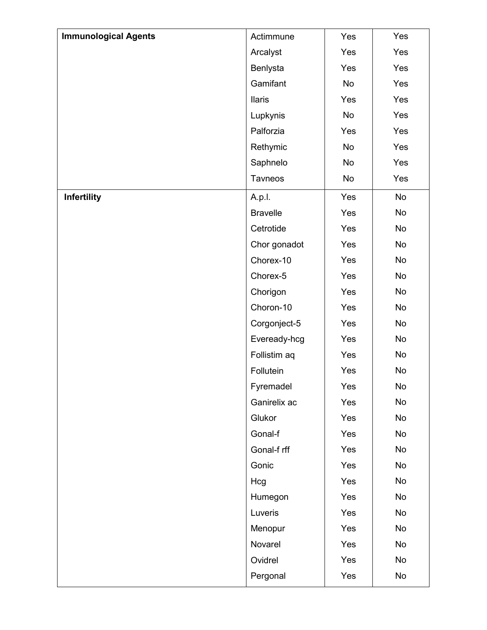| <b>Immunological Agents</b> | Actimmune       | Yes | Yes |
|-----------------------------|-----------------|-----|-----|
|                             | Arcalyst        | Yes | Yes |
|                             | Benlysta        | Yes | Yes |
|                             | Gamifant        | No  | Yes |
|                             | <b>Ilaris</b>   | Yes | Yes |
|                             | Lupkynis        | No  | Yes |
|                             | Palforzia       | Yes | Yes |
|                             | Rethymic        | No  | Yes |
|                             | Saphnelo        | No  | Yes |
|                             | Tavneos         | No  | Yes |
| Infertility                 | A.p.l.          | Yes | No  |
|                             | <b>Bravelle</b> | Yes | No  |
|                             | Cetrotide       | Yes | No  |
|                             | Chor gonadot    | Yes | No  |
|                             | Chorex-10       | Yes | No  |
|                             | Chorex-5        | Yes | No  |
|                             | Chorigon        | Yes | No  |
|                             | Choron-10       | Yes | No  |
|                             | Corgonject-5    | Yes | No  |
|                             | Eveready-hcg    | Yes | No  |
|                             | Follistim aq    | Yes | No  |
|                             | Follutein       | Yes | No  |
|                             | Fyremadel       | Yes | No  |
|                             | Ganirelix ac    | Yes | No  |
|                             | Glukor          | Yes | No  |
|                             | Gonal-f         | Yes | No  |
|                             | Gonal-f rff     | Yes | No  |
|                             | Gonic           | Yes | No  |
|                             | Hcg             | Yes | No  |
|                             | Humegon         | Yes | No  |
|                             | Luveris         | Yes | No  |
|                             | Menopur         | Yes | No  |
|                             | Novarel         | Yes | No  |
|                             | Ovidrel         | Yes | No  |
|                             | Pergonal        | Yes | No  |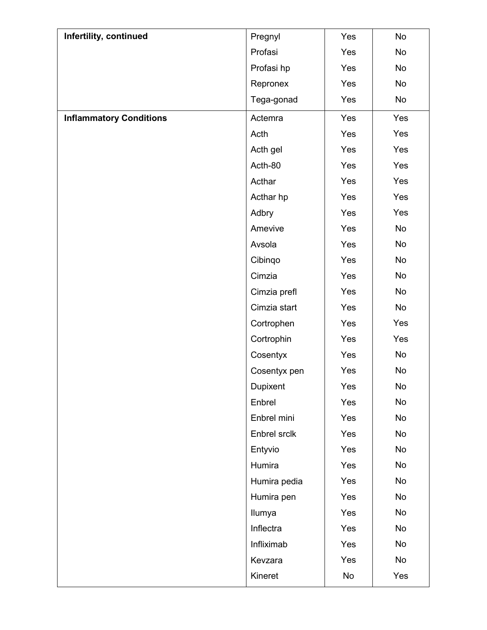| Infertility, continued         | Pregnyl      | Yes | No  |
|--------------------------------|--------------|-----|-----|
|                                | Profasi      | Yes | No  |
|                                | Profasi hp   | Yes | No  |
|                                | Repronex     | Yes | No  |
|                                | Tega-gonad   | Yes | No  |
| <b>Inflammatory Conditions</b> | Actemra      | Yes | Yes |
|                                | Acth         | Yes | Yes |
|                                | Acth gel     | Yes | Yes |
|                                | Acth-80      | Yes | Yes |
|                                | Acthar       | Yes | Yes |
|                                | Acthar hp    | Yes | Yes |
|                                | Adbry        | Yes | Yes |
|                                | Amevive      | Yes | No  |
|                                | Avsola       | Yes | No  |
|                                | Cibingo      | Yes | No  |
|                                | Cimzia       | Yes | No  |
|                                | Cimzia prefl | Yes | No  |
|                                | Cimzia start | Yes | No  |
|                                | Cortrophen   | Yes | Yes |
|                                | Cortrophin   | Yes | Yes |
|                                | Cosentyx     | Yes | No  |
|                                | Cosentyx pen | Yes | No  |
|                                | Dupixent     | Yes | No  |
|                                | Enbrel       | Yes | No  |
|                                | Enbrel mini  | Yes | No  |
|                                | Enbrel srclk | Yes | No  |
|                                | Entyvio      | Yes | No  |
|                                | Humira       | Yes | No  |
|                                | Humira pedia | Yes | No  |
|                                | Humira pen   | Yes | No  |
|                                | Ilumya       | Yes | No  |
|                                | Inflectra    | Yes | No  |
|                                | Infliximab   | Yes | No  |
|                                | Kevzara      | Yes | No  |
|                                | Kineret      | No  | Yes |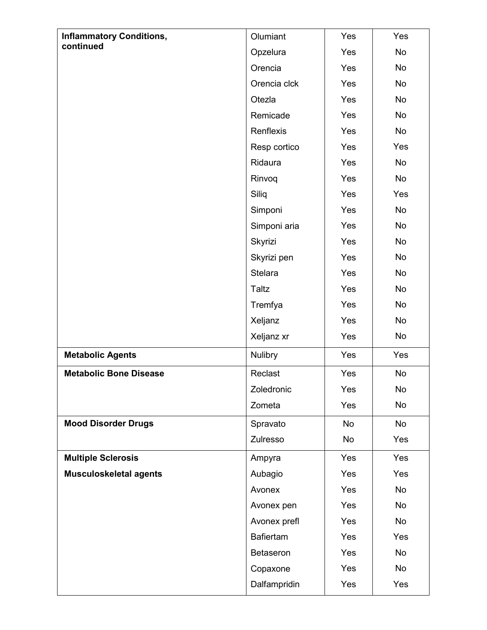| <b>Inflammatory Conditions,</b> | Olumiant         | Yes | Yes       |
|---------------------------------|------------------|-----|-----------|
| continued                       | Opzelura         | Yes | <b>No</b> |
|                                 | Orencia          | Yes | <b>No</b> |
|                                 | Orencia clck     | Yes | No        |
|                                 | Otezla           | Yes | No        |
|                                 | Remicade         | Yes | <b>No</b> |
|                                 | Renflexis        | Yes | No        |
|                                 | Resp cortico     | Yes | Yes       |
|                                 | Ridaura          | Yes | No        |
|                                 | Rinvoq           | Yes | No        |
|                                 | Siliq            | Yes | Yes       |
|                                 | Simponi          | Yes | <b>No</b> |
|                                 | Simponi aria     | Yes | No        |
|                                 | Skyrizi          | Yes | No        |
|                                 | Skyrizi pen      | Yes | <b>No</b> |
|                                 | <b>Stelara</b>   | Yes | No        |
|                                 | Taltz            | Yes | No        |
|                                 | Tremfya          | Yes | <b>No</b> |
|                                 | Xeljanz          | Yes | No        |
|                                 | Xeljanz xr       | Yes | No        |
| <b>Metabolic Agents</b>         | <b>Nulibry</b>   | Yes | Yes       |
| <b>Metabolic Bone Disease</b>   | Reclast          | Yes | No        |
|                                 | Zoledronic       | Yes | No        |
|                                 | Zometa           | Yes | No        |
| <b>Mood Disorder Drugs</b>      | Spravato         | No  | <b>No</b> |
|                                 | Zulresso         | No  | Yes       |
| <b>Multiple Sclerosis</b>       | Ampyra           | Yes | Yes       |
| <b>Musculoskeletal agents</b>   | Aubagio          | Yes | Yes       |
|                                 | Avonex           | Yes | No        |
|                                 | Avonex pen       | Yes | No        |
|                                 | Avonex prefl     | Yes | No        |
|                                 | <b>Bafiertam</b> | Yes | Yes       |
|                                 | Betaseron        | Yes | No        |
|                                 | Copaxone         | Yes | No        |
|                                 | Dalfampridin     | Yes | Yes       |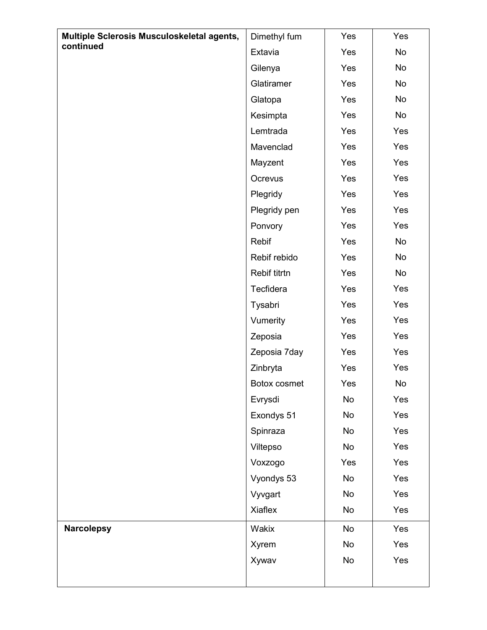| Multiple Sclerosis Musculoskeletal agents, | Dimethyl fum | Yes | Yes |
|--------------------------------------------|--------------|-----|-----|
| continued                                  | Extavia      | Yes | No  |
|                                            | Gilenya      | Yes | No  |
|                                            | Glatiramer   | Yes | No  |
|                                            | Glatopa      | Yes | No  |
|                                            | Kesimpta     | Yes | No  |
|                                            | Lemtrada     | Yes | Yes |
|                                            | Mavenclad    | Yes | Yes |
|                                            | Mayzent      | Yes | Yes |
|                                            | Ocrevus      | Yes | Yes |
|                                            | Plegridy     | Yes | Yes |
|                                            | Plegridy pen | Yes | Yes |
|                                            | Ponvory      | Yes | Yes |
|                                            | Rebif        | Yes | No  |
|                                            | Rebif rebido | Yes | No  |
|                                            | Rebif titrtn | Yes | No  |
|                                            | Tecfidera    | Yes | Yes |
|                                            | Tysabri      | Yes | Yes |
|                                            | Vumerity     | Yes | Yes |
|                                            | Zeposia      | Yes | Yes |
|                                            | Zeposia 7day | Yes | Yes |
|                                            | Zinbryta     | Yes | Yes |
|                                            | Botox cosmet | Yes | No  |
|                                            | Evrysdi      | No  | Yes |
|                                            | Exondys 51   | No  | Yes |
|                                            | Spinraza     | No  | Yes |
|                                            | Viltepso     | No  | Yes |
|                                            | Voxzogo      | Yes | Yes |
|                                            | Vyondys 53   | No  | Yes |
|                                            | Vyvgart      | No  | Yes |
|                                            | Xiaflex      | No  | Yes |
| <b>Narcolepsy</b>                          | Wakix        | No  | Yes |
|                                            | Xyrem        | No  | Yes |
|                                            | Xywav        | No  | Yes |
|                                            |              |     |     |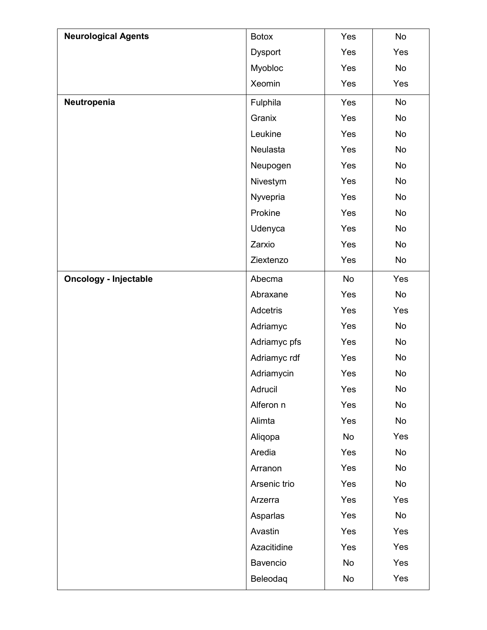| <b>Neurological Agents</b>   | <b>Botox</b>   | Yes | No        |
|------------------------------|----------------|-----|-----------|
|                              | <b>Dysport</b> | Yes | Yes       |
|                              | Myobloc        | Yes | No        |
|                              | Xeomin         | Yes | Yes       |
| Neutropenia                  | Fulphila       | Yes | No        |
|                              | Granix         | Yes | No        |
|                              | Leukine        | Yes | No        |
|                              | Neulasta       | Yes | No        |
|                              | Neupogen       | Yes | No        |
|                              | Nivestym       | Yes | No        |
|                              | Nyvepria       | Yes | No        |
|                              | Prokine        | Yes | No        |
|                              | Udenyca        | Yes | No        |
|                              | Zarxio         | Yes | No        |
|                              | Ziextenzo      | Yes | No        |
| <b>Oncology - Injectable</b> | Abecma         | No  | Yes       |
|                              | Abraxane       | Yes | No        |
|                              | Adcetris       | Yes | Yes       |
|                              | Adriamyc       | Yes | No        |
|                              | Adriamyc pfs   | Yes | <b>No</b> |
|                              | Adriamyc rdf   | Yes | No        |
|                              | Adriamycin     | Yes | No        |
|                              | Adrucil        | Yes | No        |
|                              | Alferon n      | Yes | No        |
|                              | Alimta         | Yes | No        |
|                              | Aliqopa        | No  | Yes       |
|                              | Aredia         | Yes | No        |
|                              | Arranon        | Yes | No        |
|                              | Arsenic trio   | Yes | No        |
|                              | Arzerra        | Yes | Yes       |
|                              | Asparlas       | Yes | No        |
|                              | Avastin        | Yes | Yes       |
|                              | Azacitidine    | Yes | Yes       |
|                              | Bavencio       | No  | Yes       |
|                              | Beleodaq       | No  | Yes       |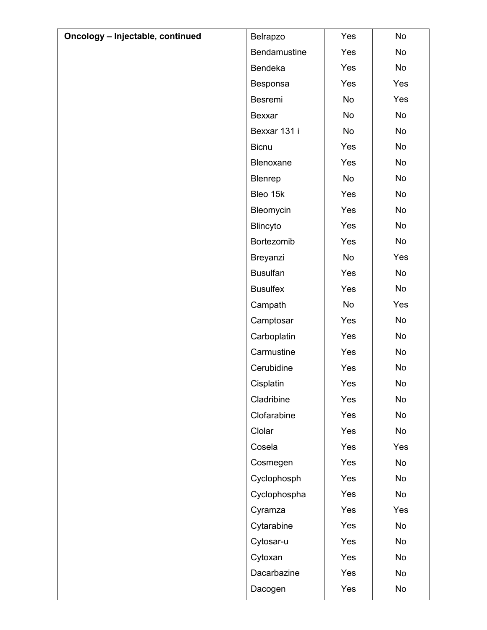| Oncology - Injectable, continued | Belrapzo        | Yes | <b>No</b> |
|----------------------------------|-----------------|-----|-----------|
|                                  | Bendamustine    | Yes | No        |
|                                  | Bendeka         | Yes | No        |
|                                  | Besponsa        | Yes | Yes       |
|                                  | Besremi         | No  | Yes       |
|                                  | Bexxar          | No  | No        |
|                                  | Bexxar 131 i    | No  | No        |
|                                  | <b>Bicnu</b>    | Yes | No        |
|                                  | Blenoxane       | Yes | No        |
|                                  | Blenrep         | No  | No        |
|                                  | Bleo 15k        | Yes | No        |
|                                  | Bleomycin       | Yes | No        |
|                                  | Blincyto        | Yes | No        |
|                                  | Bortezomib      | Yes | No        |
|                                  | Breyanzi        | No  | Yes       |
|                                  | <b>Busulfan</b> | Yes | No        |
|                                  | <b>Busulfex</b> | Yes | No        |
|                                  | Campath         | No  | Yes       |
|                                  | Camptosar       | Yes | No        |
|                                  | Carboplatin     | Yes | No        |
|                                  | Carmustine      | Yes | No        |
|                                  | Cerubidine      | Yes | No        |
|                                  | Cisplatin       | Yes | No        |
|                                  | Cladribine      | Yes | No        |
|                                  | Clofarabine     | Yes | No        |
|                                  | Clolar          | Yes | No        |
|                                  | Cosela          | Yes | Yes       |
|                                  | Cosmegen        | Yes | No        |
|                                  | Cyclophosph     | Yes | No        |
|                                  | Cyclophospha    | Yes | No        |
|                                  | Cyramza         | Yes | Yes       |
|                                  | Cytarabine      | Yes | No        |
|                                  | Cytosar-u       | Yes | No        |
|                                  | Cytoxan         | Yes | No        |
|                                  | Dacarbazine     | Yes | No        |
|                                  | Dacogen         | Yes | No        |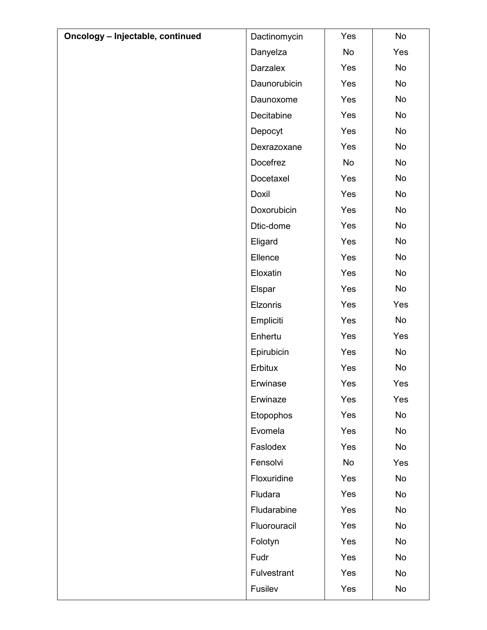| Oncology - Injectable, continued | Dactinomycin | Yes | No  |
|----------------------------------|--------------|-----|-----|
|                                  | Danyelza     | No  | Yes |
|                                  | Darzalex     | Yes | No  |
|                                  | Daunorubicin | Yes | No  |
|                                  | Daunoxome    | Yes | No  |
|                                  | Decitabine   | Yes | No  |
|                                  | Depocyt      | Yes | No  |
|                                  | Dexrazoxane  | Yes | No  |
|                                  | Docefrez     | No  | No  |
|                                  | Docetaxel    | Yes | No  |
|                                  | Doxil        | Yes | No  |
|                                  | Doxorubicin  | Yes | No  |
|                                  | Dtic-dome    | Yes | No  |
|                                  | Eligard      | Yes | No  |
|                                  | Ellence      | Yes | No  |
|                                  | Eloxatin     | Yes | No  |
|                                  | Elspar       | Yes | No  |
|                                  | Elzonris     | Yes | Yes |
|                                  | Empliciti    | Yes | No  |
|                                  | Enhertu      | Yes | Yes |
|                                  | Epirubicin   | Yes | No  |
|                                  | Erbitux      | Yes | No  |
|                                  | Erwinase     | Yes | Yes |
|                                  | Erwinaze     | Yes | Yes |
|                                  | Etopophos    | Yes | No  |
|                                  | Evomela      | Yes | No  |
|                                  | Faslodex     | Yes | No  |
|                                  | Fensolvi     | No  | Yes |
|                                  | Floxuridine  | Yes | No  |
|                                  | Fludara      | Yes | No  |
|                                  | Fludarabine  | Yes | No  |
|                                  | Fluorouracil | Yes | No  |
|                                  | Folotyn      | Yes | No  |
|                                  | Fudr         | Yes | No  |
|                                  | Fulvestrant  | Yes | No  |
|                                  | Fusilev      | Yes | No  |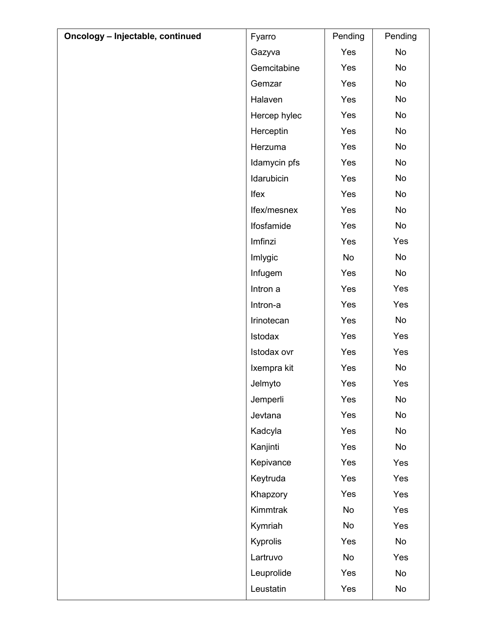| Oncology - Injectable, continued | Fyarro       | Pending | Pending |
|----------------------------------|--------------|---------|---------|
|                                  | Gazyva       | Yes     | No      |
|                                  | Gemcitabine  | Yes     | No      |
|                                  | Gemzar       | Yes     | No      |
|                                  | Halaven      | Yes     | No      |
|                                  | Hercep hylec | Yes     | No      |
|                                  | Herceptin    | Yes     | No      |
|                                  | Herzuma      | Yes     | No      |
|                                  | Idamycin pfs | Yes     | No      |
|                                  | Idarubicin   | Yes     | No      |
|                                  | Ifex         | Yes     | No      |
|                                  | Ifex/mesnex  | Yes     | No      |
|                                  | Ifosfamide   | Yes     | No      |
|                                  | Imfinzi      | Yes     | Yes     |
|                                  | Imlygic      | No      | No      |
|                                  | Infugem      | Yes     | No      |
|                                  | Intron a     | Yes     | Yes     |
|                                  | Intron-a     | Yes     | Yes     |
|                                  | Irinotecan   | Yes     | No      |
|                                  | Istodax      | Yes     | Yes     |
|                                  | Istodax ovr  | Yes     | Yes     |
|                                  | Ixempra kit  | Yes     | No      |
|                                  | Jelmyto      | Yes     | Yes     |
|                                  | Jemperli     | Yes     | No      |
|                                  | Jevtana      | Yes     | No      |
|                                  | Kadcyla      | Yes     | No      |
|                                  | Kanjinti     | Yes     | No      |
|                                  | Kepivance    | Yes     | Yes     |
|                                  | Keytruda     | Yes     | Yes     |
|                                  | Khapzory     | Yes     | Yes     |
|                                  | Kimmtrak     | No      | Yes     |
|                                  | Kymriah      | No      | Yes     |
|                                  | Kyprolis     | Yes     | No      |
|                                  | Lartruvo     | No      | Yes     |
|                                  | Leuprolide   | Yes     | No      |
|                                  | Leustatin    | Yes     | No      |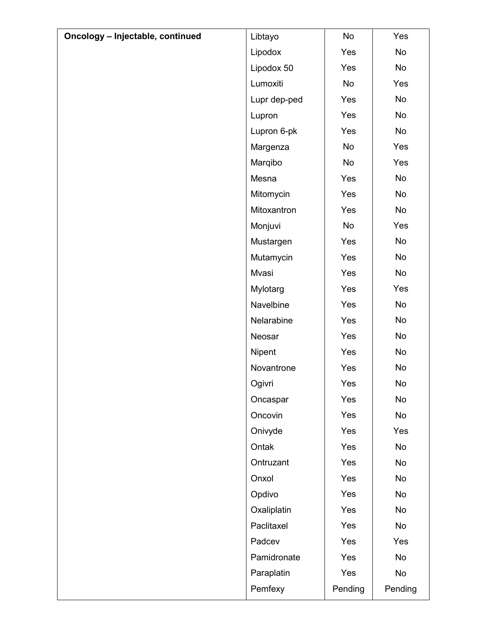| Oncology - Injectable, continued | Libtayo      | No        | Yes     |
|----------------------------------|--------------|-----------|---------|
|                                  | Lipodox      | Yes       | No      |
|                                  | Lipodox 50   | Yes       | No      |
|                                  | Lumoxiti     | <b>No</b> | Yes     |
|                                  | Lupr dep-ped | Yes       | No      |
|                                  | Lupron       | Yes       | No      |
|                                  | Lupron 6-pk  | Yes       | No      |
|                                  | Margenza     | No        | Yes     |
|                                  | Marqibo      | No        | Yes     |
|                                  | Mesna        | Yes       | No      |
|                                  | Mitomycin    | Yes       | No      |
|                                  | Mitoxantron  | Yes       | No      |
|                                  | Monjuvi      | No        | Yes     |
|                                  | Mustargen    | Yes       | No      |
|                                  | Mutamycin    | Yes       | No      |
|                                  | Mvasi        | Yes       | No      |
|                                  | Mylotarg     | Yes       | Yes     |
|                                  | Navelbine    | Yes       | No      |
|                                  | Nelarabine   | Yes       | No      |
|                                  | Neosar       | Yes       | No      |
|                                  | Nipent       | Yes       | No      |
|                                  | Novantrone   | Yes       | No      |
|                                  | Ogivri       | Yes       | No      |
|                                  | Oncaspar     | Yes       | No      |
|                                  | Oncovin      | Yes       | No      |
|                                  | Onivyde      | Yes       | Yes     |
|                                  | Ontak        | Yes       | No      |
|                                  | Ontruzant    | Yes       | No      |
|                                  | Onxol        | Yes       | No      |
|                                  | Opdivo       | Yes       | No      |
|                                  | Oxaliplatin  | Yes       | No      |
|                                  | Paclitaxel   | Yes       | No      |
|                                  | Padcev       | Yes       | Yes     |
|                                  | Pamidronate  | Yes       | No      |
|                                  | Paraplatin   | Yes       | No      |
|                                  | Pemfexy      | Pending   | Pending |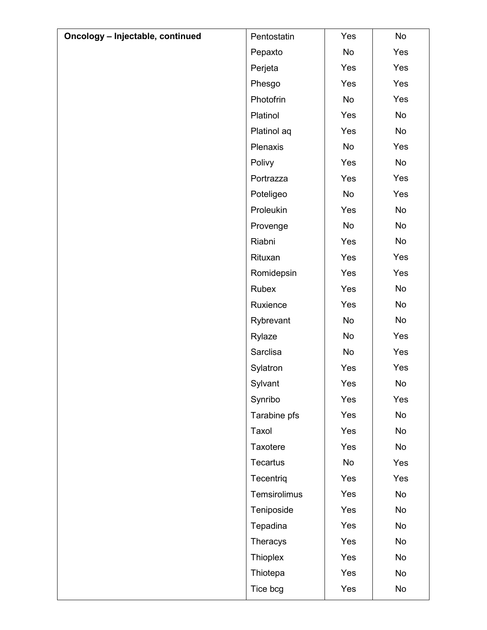| Oncology - Injectable, continued | Pentostatin  | Yes | No                           |
|----------------------------------|--------------|-----|------------------------------|
|                                  | Pepaxto      | No  | Yes                          |
|                                  | Perjeta      | Yes | Yes                          |
|                                  | Phesgo       | Yes | Yes                          |
|                                  | Photofrin    | No  | Yes                          |
|                                  | Platinol     | Yes | No                           |
|                                  | Platinol aq  | Yes | No                           |
|                                  | Plenaxis     | No  | Yes                          |
|                                  | Polivy       | Yes | No                           |
|                                  | Portrazza    | Yes | Yes                          |
|                                  | Poteligeo    | No  | Yes                          |
|                                  | Proleukin    | Yes | No                           |
|                                  | Provenge     | No  | No                           |
|                                  | Riabni       | Yes | No                           |
|                                  | Rituxan      | Yes | Yes                          |
|                                  | Romidepsin   | Yes | Yes                          |
|                                  | Rubex        | Yes | No                           |
|                                  | Ruxience     | Yes | No                           |
|                                  | Rybrevant    | No  | No                           |
|                                  | Rylaze       | No  | Yes                          |
|                                  | Sarclisa     | No  | Yes                          |
|                                  | Sylatron     | Yes | Yes                          |
|                                  | Sylvant      | Yes | $\operatorname{\mathsf{No}}$ |
|                                  | Synribo      | Yes | Yes                          |
|                                  | Tarabine pfs | Yes | No                           |
|                                  | Taxol        | Yes | No                           |
|                                  | Taxotere     | Yes | No                           |
|                                  | Tecartus     | No  | Yes                          |
|                                  | Tecentriq    | Yes | Yes                          |
|                                  | Temsirolimus | Yes | No                           |
|                                  | Teniposide   | Yes | No                           |
|                                  | Tepadina     | Yes | No                           |
|                                  | Theracys     | Yes | No                           |
|                                  | Thioplex     | Yes | No                           |
|                                  | Thiotepa     | Yes | No                           |
|                                  | Tice bcg     | Yes | No                           |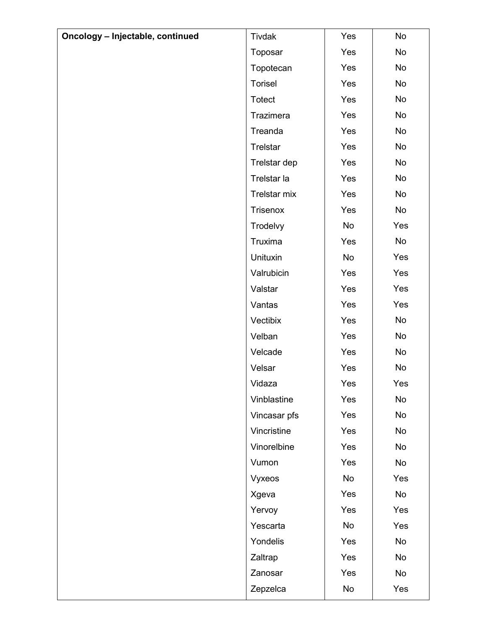| Oncology - Injectable, continued | Tivdak          | Yes | No  |
|----------------------------------|-----------------|-----|-----|
|                                  | Toposar         | Yes | No  |
|                                  | Topotecan       | Yes | No  |
|                                  | Torisel         | Yes | No  |
|                                  | Totect          | Yes | No  |
|                                  | Trazimera       | Yes | No  |
|                                  | Treanda         | Yes | No  |
|                                  | <b>Trelstar</b> | Yes | No  |
|                                  | Trelstar dep    | Yes | No  |
|                                  | Trelstar la     | Yes | No  |
|                                  | Trelstar mix    | Yes | No  |
|                                  | Trisenox        | Yes | No  |
|                                  | Trodelvy        | No  | Yes |
|                                  | Truxima         | Yes | No  |
|                                  | Unituxin        | No  | Yes |
|                                  | Valrubicin      | Yes | Yes |
|                                  | Valstar         | Yes | Yes |
|                                  | Vantas          | Yes | Yes |
|                                  | Vectibix        | Yes | No  |
|                                  | Velban          | Yes | No  |
|                                  | Velcade         | Yes | No  |
|                                  | Velsar          | Yes | No  |
|                                  | Vidaza          | Yes | Yes |
|                                  | Vinblastine     | Yes | No  |
|                                  | Vincasar pfs    | Yes | No  |
|                                  | Vincristine     | Yes | No  |
|                                  | Vinorelbine     | Yes | No  |
|                                  | Vumon           | Yes | No  |
|                                  | Vyxeos          | No  | Yes |
|                                  | Xgeva           | Yes | No  |
|                                  | Yervoy          | Yes | Yes |
|                                  | Yescarta        | No  | Yes |
|                                  | Yondelis        | Yes | No  |
|                                  | Zaltrap         | Yes | No  |
|                                  | Zanosar         | Yes | No  |
|                                  | Zepzelca        | No  | Yes |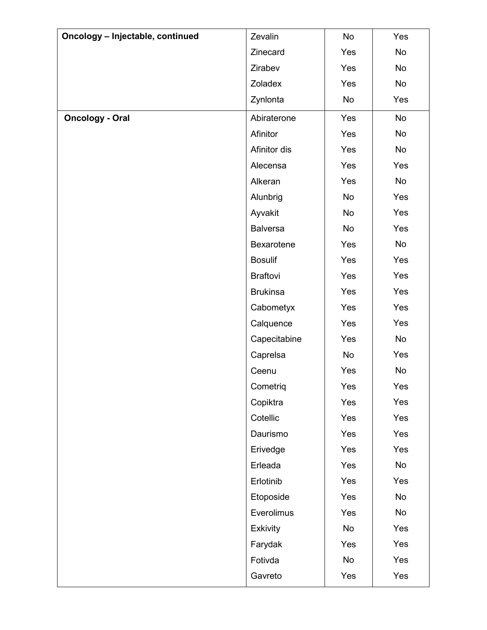| Oncology - Injectable, continued | Zevalin         | No  | Yes |
|----------------------------------|-----------------|-----|-----|
|                                  | Zinecard        | Yes | No  |
|                                  | Zirabev         | Yes | No  |
|                                  | Zoladex         | Yes | No  |
|                                  | Zynlonta        | No  | Yes |
| <b>Oncology - Oral</b>           | Abiraterone     | Yes | No  |
|                                  | Afinitor        | Yes | No  |
|                                  | Afinitor dis    | Yes | No  |
|                                  | Alecensa        | Yes | Yes |
|                                  | Alkeran         | Yes | No  |
|                                  | Alunbrig        | No  | Yes |
|                                  | Ayvakit         | No  | Yes |
|                                  | <b>Balversa</b> | No  | Yes |
|                                  | Bexarotene      | Yes | No  |
|                                  | <b>Bosulif</b>  | Yes | Yes |
|                                  | <b>Braftovi</b> | Yes | Yes |
|                                  | <b>Brukinsa</b> | Yes | Yes |
|                                  | Cabometyx       | Yes | Yes |
|                                  | Calquence       | Yes | Yes |
|                                  | Capecitabine    | Yes | No  |
|                                  | Caprelsa        | No  | Yes |
|                                  | Ceenu           | Yes | No  |
|                                  | Cometriq        | Yes | Yes |
|                                  | Copiktra        | Yes | Yes |
|                                  | Cotellic        | Yes | Yes |
|                                  | Daurismo        | Yes | Yes |
|                                  | Erivedge        | Yes | Yes |
|                                  | Erleada         | Yes | No  |
|                                  | Erlotinib       | Yes | Yes |
|                                  | Etoposide       | Yes | No  |
|                                  | Everolimus      | Yes | No  |
|                                  | <b>Exkivity</b> | No  | Yes |
|                                  | Farydak         | Yes | Yes |
|                                  | Fotivda         | No  | Yes |
|                                  | Gavreto         | Yes | Yes |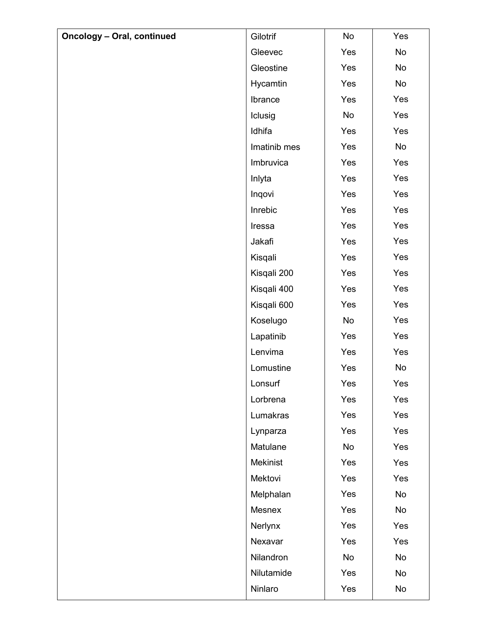| <b>Oncology - Oral, continued</b> | Gilotrif     | No  | Yes |
|-----------------------------------|--------------|-----|-----|
|                                   | Gleevec      | Yes | No  |
|                                   | Gleostine    | Yes | No  |
|                                   | Hycamtin     | Yes | No  |
|                                   | Ibrance      | Yes | Yes |
|                                   | Iclusig      | No  | Yes |
|                                   | Idhifa       | Yes | Yes |
|                                   | Imatinib mes | Yes | No  |
|                                   | Imbruvica    | Yes | Yes |
|                                   | Inlyta       | Yes | Yes |
|                                   | Inqovi       | Yes | Yes |
|                                   | Inrebic      | Yes | Yes |
|                                   | Iressa       | Yes | Yes |
|                                   | Jakafi       | Yes | Yes |
|                                   | Kisqali      | Yes | Yes |
|                                   | Kisqali 200  | Yes | Yes |
|                                   | Kisqali 400  | Yes | Yes |
|                                   | Kisqali 600  | Yes | Yes |
|                                   | Koselugo     | No  | Yes |
|                                   | Lapatinib    | Yes | Yes |
|                                   | Lenvima      | Yes | Yes |
|                                   | Lomustine    | Yes | No  |
|                                   | Lonsurf      | Yes | Yes |
|                                   | Lorbrena     | Yes | Yes |
|                                   | Lumakras     | Yes | Yes |
|                                   | Lynparza     | Yes | Yes |
|                                   | Matulane     | No  | Yes |
|                                   | Mekinist     | Yes | Yes |
|                                   | Mektovi      | Yes | Yes |
|                                   | Melphalan    | Yes | No  |
|                                   | Mesnex       | Yes | No  |
|                                   | Nerlynx      | Yes | Yes |
|                                   | Nexavar      | Yes | Yes |
|                                   | Nilandron    | No  | No  |
|                                   | Nilutamide   | Yes | No  |
|                                   | Ninlaro      | Yes | No  |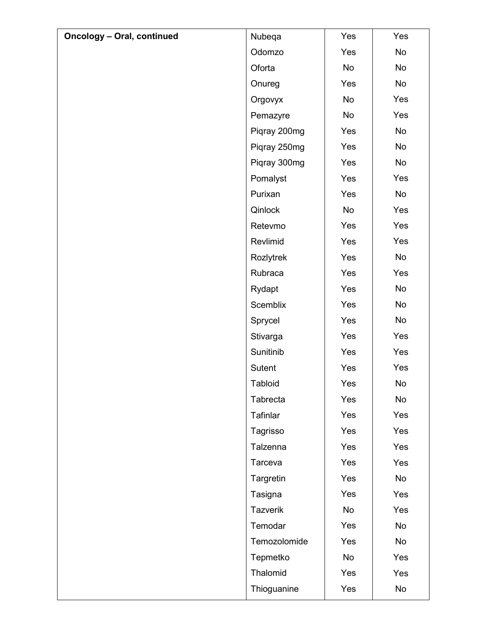| <b>Oncology - Oral, continued</b> | Nubeqa          | Yes | Yes |
|-----------------------------------|-----------------|-----|-----|
|                                   | Odomzo          | Yes | No  |
|                                   | Oforta          | No  | No  |
|                                   | Onureg          | Yes | No  |
|                                   | Orgovyx         | No  | Yes |
|                                   | Pemazyre        | No  | Yes |
|                                   | Piqray 200mg    | Yes | No  |
|                                   | Piqray 250mg    | Yes | No  |
|                                   | Piqray 300mg    | Yes | No  |
|                                   | Pomalyst        | Yes | Yes |
|                                   | Purixan         | Yes | No  |
|                                   | Qinlock         | No  | Yes |
|                                   | Retevmo         | Yes | Yes |
|                                   | Revlimid        | Yes | Yes |
|                                   | Rozlytrek       | Yes | No  |
|                                   | Rubraca         | Yes | Yes |
|                                   | Rydapt          | Yes | No  |
|                                   | Scemblix        | Yes | No  |
|                                   | Sprycel         | Yes | No  |
|                                   | Stivarga        | Yes | Yes |
|                                   | Sunitinib       | Yes | Yes |
|                                   | Sutent          | Yes | Yes |
|                                   | <b>Tabloid</b>  | Yes | No  |
|                                   | Tabrecta        | Yes | No  |
|                                   | Tafinlar        | Yes | Yes |
|                                   | Tagrisso        | Yes | Yes |
|                                   | Talzenna        | Yes | Yes |
|                                   | Tarceva         | Yes | Yes |
|                                   | Targretin       | Yes | No  |
|                                   | Tasigna         | Yes | Yes |
|                                   | <b>Tazverik</b> | No  | Yes |
|                                   | Temodar         | Yes | No  |
|                                   | Temozolomide    | Yes | No  |
|                                   | Tepmetko        | No  | Yes |
|                                   | Thalomid        | Yes | Yes |
|                                   | Thioguanine     | Yes | No  |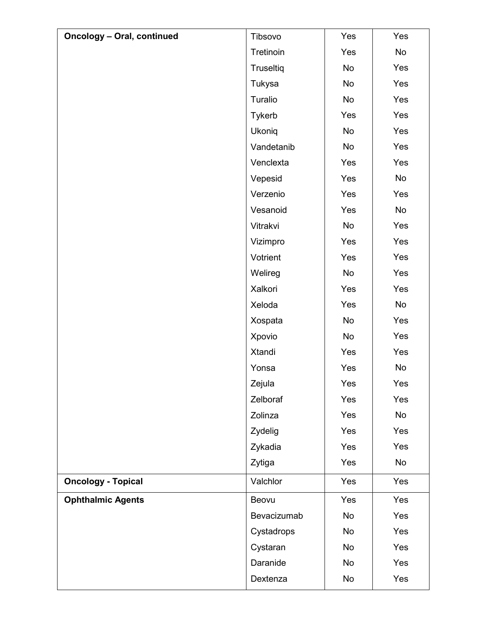| <b>Oncology - Oral, continued</b> | Tibsovo       | Yes | Yes |
|-----------------------------------|---------------|-----|-----|
|                                   | Tretinoin     | Yes | No  |
|                                   | Truseltiq     | No  | Yes |
|                                   | Tukysa        | No  | Yes |
|                                   | Turalio       | No  | Yes |
|                                   | <b>Tykerb</b> | Yes | Yes |
|                                   | Ukoniq        | No  | Yes |
|                                   | Vandetanib    | No  | Yes |
|                                   | Venclexta     | Yes | Yes |
|                                   | Vepesid       | Yes | No  |
|                                   | Verzenio      | Yes | Yes |
|                                   | Vesanoid      | Yes | No  |
|                                   | Vitrakvi      | No  | Yes |
|                                   | Vizimpro      | Yes | Yes |
|                                   | Votrient      | Yes | Yes |
|                                   | Welireg       | No  | Yes |
|                                   | Xalkori       | Yes | Yes |
|                                   | Xeloda        | Yes | No  |
|                                   | Xospata       | No  | Yes |
|                                   | Xpovio        | No  | Yes |
|                                   | Xtandi        | Yes | Yes |
|                                   | Yonsa         | Yes | No  |
|                                   | Zejula        | Yes | Yes |
|                                   | Zelboraf      | Yes | Yes |
|                                   | Zolinza       | Yes | No  |
|                                   | Zydelig       | Yes | Yes |
|                                   | Zykadia       | Yes | Yes |
|                                   | Zytiga        | Yes | No  |
| <b>Oncology - Topical</b>         | Valchlor      | Yes | Yes |
| <b>Ophthalmic Agents</b>          | Beovu         | Yes | Yes |
|                                   | Bevacizumab   | No  | Yes |
|                                   | Cystadrops    | No  | Yes |
|                                   | Cystaran      | No  | Yes |
|                                   |               |     |     |
|                                   | Daranide      | No  | Yes |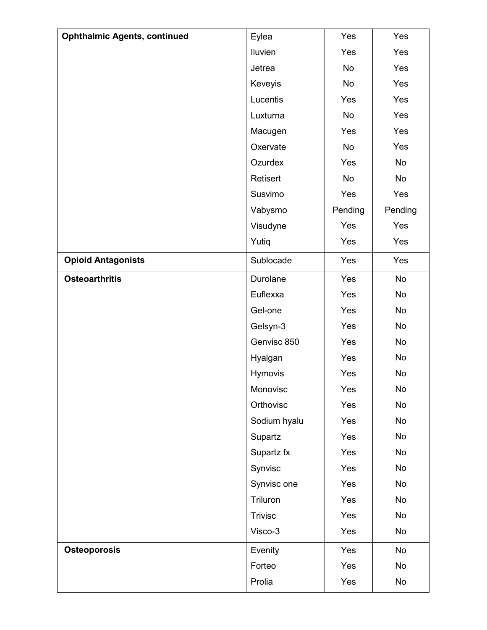| <b>Ophthalmic Agents, continued</b> | Eylea          | Yes       | Yes     |
|-------------------------------------|----------------|-----------|---------|
|                                     | Iluvien        | Yes       | Yes     |
|                                     | Jetrea         | No        | Yes     |
|                                     | Keveyis        | <b>No</b> | Yes     |
|                                     | Lucentis       | Yes       | Yes     |
|                                     | Luxturna       | No        | Yes     |
|                                     | Macugen        | Yes       | Yes     |
|                                     | Oxervate       | No        | Yes     |
|                                     | Ozurdex        | Yes       | No      |
|                                     | Retisert       | No        | No      |
|                                     | Susvimo        | Yes       | Yes     |
|                                     | Vabysmo        | Pending   | Pending |
|                                     | Visudyne       | Yes       | Yes     |
|                                     | Yutiq          | Yes       | Yes     |
| <b>Opioid Antagonists</b>           | Sublocade      | Yes       | Yes     |
| <b>Osteoarthritis</b>               | Durolane       | Yes       | No      |
|                                     | Euflexxa       | Yes       | No      |
|                                     | Gel-one        | Yes       | No      |
|                                     | Gelsyn-3       | Yes       | No      |
|                                     | Genvisc 850    | Yes       | No      |
|                                     | Hyalgan        | Yes       | No      |
|                                     | Hymovis        | Yes       | No      |
|                                     | Monovisc       | Yes       | No      |
|                                     | Orthovisc      | Yes       | No      |
|                                     | Sodium hyalu   | Yes       | No      |
|                                     | Supartz        | Yes       | No      |
|                                     | Supartz fx     | Yes       | No      |
|                                     | Synvisc        | Yes       | No      |
|                                     | Synvisc one    | Yes       | No      |
|                                     | Triluron       | Yes       | No      |
|                                     | <b>Trivisc</b> | Yes       | No      |
|                                     | Visco-3        | Yes       | No      |
| <b>Osteoporosis</b>                 | Evenity        | Yes       | No      |
|                                     | Forteo         | Yes       | No      |
|                                     | Prolia         | Yes       | No      |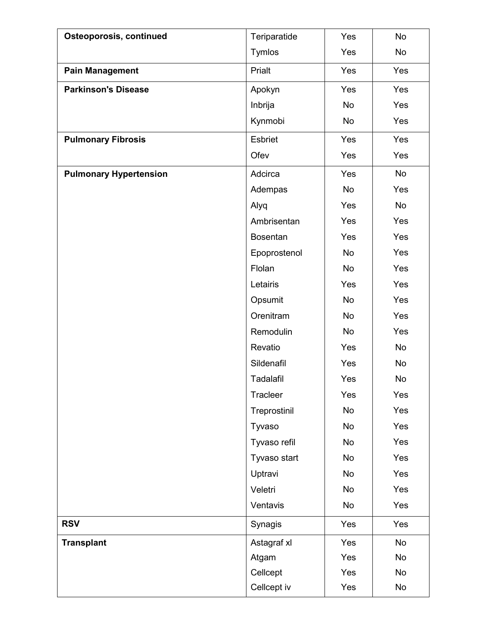| Osteoporosis, continued       | Teriparatide    | Yes       | No  |
|-------------------------------|-----------------|-----------|-----|
|                               | Tymlos          | Yes       | No  |
| <b>Pain Management</b>        | Prialt          | Yes       | Yes |
| <b>Parkinson's Disease</b>    | Apokyn          | Yes       | Yes |
|                               | Inbrija         | No        | Yes |
|                               | Kynmobi         | No        | Yes |
| <b>Pulmonary Fibrosis</b>     | <b>Esbriet</b>  | Yes       | Yes |
|                               | Ofev            | Yes       | Yes |
| <b>Pulmonary Hypertension</b> | Adcirca         | Yes       | No  |
|                               | Adempas         | No        | Yes |
|                               | Alyq            | Yes       | No  |
|                               | Ambrisentan     | Yes       | Yes |
|                               | <b>Bosentan</b> | Yes       | Yes |
|                               | Epoprostenol    | No        | Yes |
|                               | Flolan          | No        | Yes |
|                               | Letairis        | Yes       | Yes |
|                               | Opsumit         | No        | Yes |
|                               | Orenitram       | No        | Yes |
|                               | Remodulin       | No        | Yes |
|                               | Revatio         | Yes       | No  |
|                               | Sildenafil      | Yes       | No  |
|                               | Tadalafil       | Yes       | No  |
|                               | Tracleer        | Yes       | Yes |
|                               | Treprostinil    | No        | Yes |
|                               | Tyvaso          | No        | Yes |
|                               | Tyvaso refil    | <b>No</b> | Yes |
|                               | Tyvaso start    | No        | Yes |
|                               | Uptravi         | No        | Yes |
|                               | Veletri         | No        | Yes |
|                               | Ventavis        | No        | Yes |
| <b>RSV</b>                    | Synagis         | Yes       | Yes |
| <b>Transplant</b>             | Astagraf xl     | Yes       | No  |
|                               | Atgam           | Yes       | No  |
|                               | Cellcept        | Yes       | No  |
|                               | Cellcept iv     | Yes       | No  |